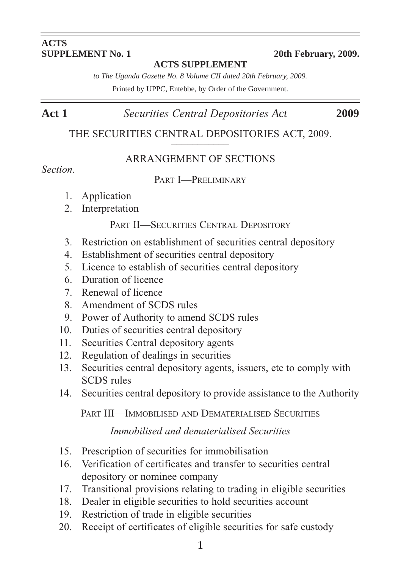#### **ACTS SUPPLEMENT No. 1** 20th February, 2009.

#### **ACTS SUPPLEMENT**

*to The Uganda Gazette No. 8 Volume CII dated 20th February, 2009.*

Printed by UPPC, Entebbe, by Order of the Government.

## **Act 1** *Securities Central Depositories Act* **2009**

THE SECURITIES CENTRAL DEPOSITORIES ACT, 2009.

#### ARRANGEMENT OF SECTIONS

#### *Section.*

#### PART I—PRELIMINARY

- 1. Application
- 2. Interpretation

#### PART II—SECURITIES CENTRAL DEPOSITORY

- 3. Restriction on establishment of securities central depository
- 4. Establishment of securities central depository
- 5. Licence to establish of securities central depository
- 6. Duration of licence
- 7. Renewal of licence
- 8. Amendment of SCDS rules
- 9. Power of Authority to amend SCDS rules
- 10. Duties of securities central depository
- 11. Securities Central depository agents
- 12. Regulation of dealings in securities
- 13. Securities central depository agents, issuers, etc to comply with SCDS rules
- 14. Securities central depository to provide assistance to the Authority

PART III—IMMOBILISED AND DEMATERIALISED SECURITIES

### *Immobilised and dematerialised Securities*

- 15. Prescription of securities for immobilisation
- 16. Verification of certificates and transfer to securities central depository or nominee company
- 17. Transitional provisions relating to trading in eligible securities
- 18. Dealer in eligible securities to hold securities account
- 19. Restriction of trade in eligible securities
- 20. Receipt of certificates of eligible securities for safe custody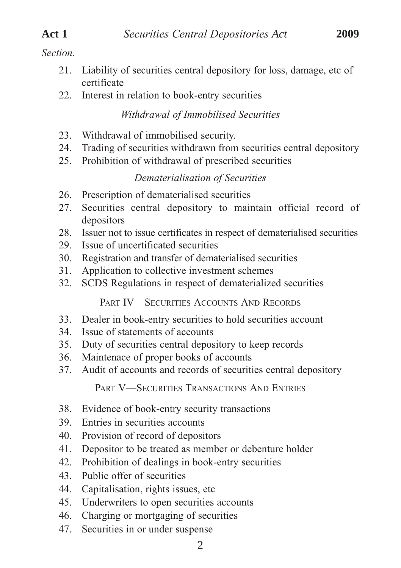# *Section.*

- 21. Liability of securities central depository for loss, damage, etc of certificate
- 22. Interest in relation to book-entry securities

#### *Withdrawal of Immobilised Securities*

- 23. Withdrawal of immobilised security.
- 24. Trading of securities withdrawn from securities central depository
- 25. Prohibition of withdrawal of prescribed securities

#### *Dematerialisation of Securities*

- 26. Prescription of dematerialised securities
- 27. Securities central depository to maintain official record of depositors
- 28. Issuer not to issue certificates in respect of dematerialised securities
- 29. Issue of uncertificated securities
- 30. Registration and transfer of dematerialised securities
- 31. Application to collective investment schemes
- 32. SCDS Regulations in respect of dematerialized securities

PART IV—SECURITIES ACCOUNTS AND RECORDS

- 33. Dealer in book-entry securities to hold securities account
- 34. Issue of statements of accounts
- 35. Duty of securities central depository to keep records
- 36. Maintenace of proper books of accounts
- 37. Audit of accounts and records of securities central depository

PART V—SECURITIES TRANSACTIONS AND ENTRIES

- 38. Evidence of book-entry security transactions
- 39. Entries in securities accounts
- 40. Provision of record of depositors
- 41. Depositor to be treated as member or debenture holder
- 42. Prohibition of dealings in book-entry securities
- 43. Public offer of securities
- 44. Capitalisation, rights issues, etc
- 45. Underwriters to open securities accounts
- 46. Charging or mortgaging of securities
- 47. Securities in or under suspense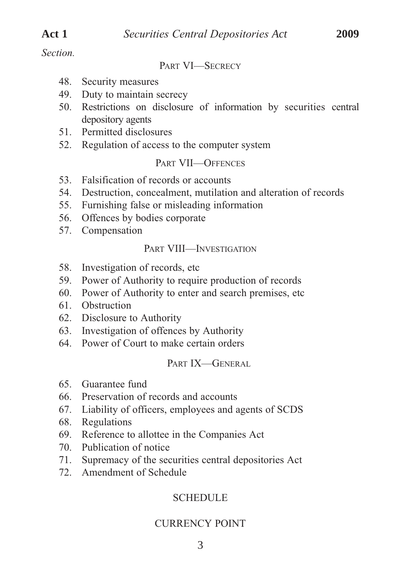*Section.*

PART VI—SECRECY

- 48. Security measures
- 49. Duty to maintain secrecy
- 50. Restrictions on disclosure of information by securities central depository agents
- 51. Permitted disclosures
- 52. Regulation of access to the computer system

#### PART VII—OFFENCES

- 53. Falsification of records or accounts
- 54. Destruction, concealment, mutilation and alteration of records
- 55. Furnishing false or misleading information
- 56. Offences by bodies corporate
- 57. Compensation

#### PART VIII—INVESTIGATION

- 58. Investigation of records, etc
- 59. Power of Authority to require production of records
- 60. Power of Authority to enter and search premises, etc
- 61. Obstruction
- 62. Disclosure to Authority
- 63. Investigation of offences by Authority
- 64. Power of Court to make certain orders

#### PART IX-GENERAL

- 65. Guarantee fund
- 66. Preservation of records and accounts
- 67. Liability of officers, employees and agents of SCDS
- 68. Regulations
- 69. Reference to allottee in the Companies Act
- 70. Publication of notice
- 71. Supremacy of the securities central depositories Act
- 72. Amendment of Schedule

# **SCHEDULE**

### CURRENCY POINT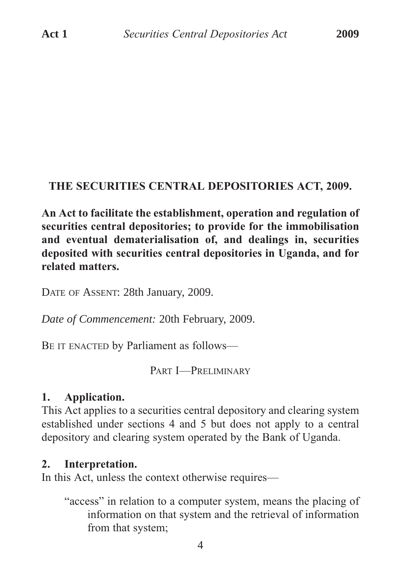### **THE SECURITIES CENTRAL DEPOSITORIES ACT, 2009.**

**An Act to facilitate the establishment, operation and regulation of securities central depositories; to provide for the immobilisation and eventual dematerialisation of, and dealings in, securities deposited with securities central depositories in Uganda, and for related matters.**

DATE OF ASSENT: 28th January, 2009.

*Date of Commencement:* 20th February, 2009.

BE IT ENACTED by Parliament as follows—

PART I—PRELIMINARY

#### **1. Application.**

This Act applies to a securities central depository and clearing system established under sections 4 and 5 but does not apply to a central depository and clearing system operated by the Bank of Uganda.

#### **2. Interpretation.**

In this Act, unless the context otherwise requires—

"access" in relation to a computer system, means the placing of information on that system and the retrieval of information from that system;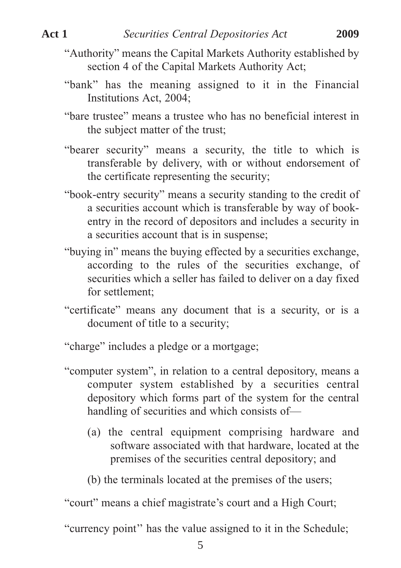- "Authority" means the Capital Markets Authority established by section 4 of the Capital Markets Authority Act;
- "bank" has the meaning assigned to it in the Financial Institutions Act, 2004;
- "bare trustee" means a trustee who has no beneficial interest in the subject matter of the trust;
- "bearer security" means a security, the title to which is transferable by delivery, with or without endorsement of the certificate representing the security;
- "book-entry security" means a security standing to the credit of a securities account which is transferable by way of bookentry in the record of depositors and includes a security in a securities account that is in suspense;
- "buying in" means the buying effected by a securities exchange, according to the rules of the securities exchange, of securities which a seller has failed to deliver on a day fixed for settlement;
- "certificate" means any document that is a security, or is a document of title to a security;

"charge" includes a pledge or a mortgage;

- "computer system", in relation to a central depository, means a computer system established by a securities central depository which forms part of the system for the central handling of securities and which consists of—
	- (a) the central equipment comprising hardware and software associated with that hardware, located at the premises of the securities central depository; and
	- (b) the terminals located at the premises of the users;

"court" means a chief magistrate's court and a High Court;

"currency point'' has the value assigned to it in the Schedule;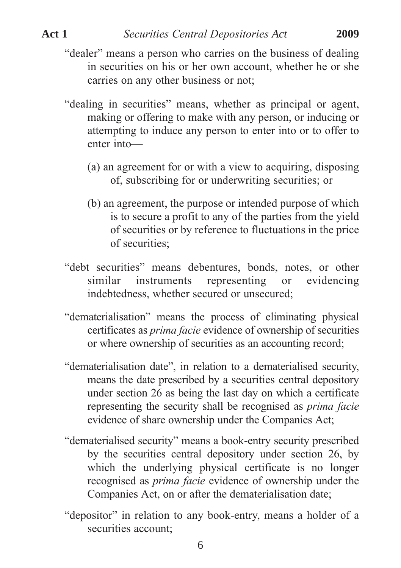- "dealer" means a person who carries on the business of dealing in securities on his or her own account, whether he or she carries on any other business or not;
- "dealing in securities" means, whether as principal or agent, making or offering to make with any person, or inducing or attempting to induce any person to enter into or to offer to enter into—
	- (a) an agreement for or with a view to acquiring, disposing of, subscribing for or underwriting securities; or
	- (b) an agreement, the purpose or intended purpose of which is to secure a profit to any of the parties from the yield of securities or by reference to fluctuations in the price of securities;
- "debt securities" means debentures, bonds, notes, or other similar instruments representing or evidencing indebtedness, whether secured or unsecured:
- "dematerialisation" means the process of eliminating physical certificates as *prima facie* evidence of ownership of securities or where ownership of securities as an accounting record;
- "dematerialisation date", in relation to a dematerialised security, means the date prescribed by a securities central depository under section 26 as being the last day on which a certificate representing the security shall be recognised as *prima facie* evidence of share ownership under the Companies Act;
- "dematerialised security" means a book-entry security prescribed by the securities central depository under section 26, by which the underlying physical certificate is no longer recognised as *prima facie* evidence of ownership under the Companies Act, on or after the dematerialisation date;
- "depositor" in relation to any book-entry, means a holder of a securities account;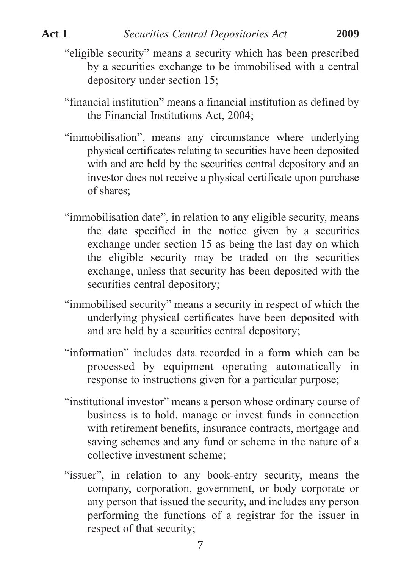- "eligible security" means a security which has been prescribed by a securities exchange to be immobilised with a central depository under section 15;
- "financial institution" means a financial institution as defined by the Financial Institutions Act, 2004;
- "immobilisation", means any circumstance where underlying physical certificates relating to securities have been deposited with and are held by the securities central depository and an investor does not receive a physical certificate upon purchase of shares;
- "immobilisation date", in relation to any eligible security, means the date specified in the notice given by a securities exchange under section 15 as being the last day on which the eligible security may be traded on the securities exchange, unless that security has been deposited with the securities central depository;
- "immobilised security" means a security in respect of which the underlying physical certificates have been deposited with and are held by a securities central depository;
- "information" includes data recorded in a form which can be processed by equipment operating automatically in response to instructions given for a particular purpose;
- "institutional investor" means a person whose ordinary course of business is to hold, manage or invest funds in connection with retirement benefits, insurance contracts, mortgage and saving schemes and any fund or scheme in the nature of a collective investment scheme;
- "issuer", in relation to any book-entry security, means the company, corporation, government, or body corporate or any person that issued the security, and includes any person performing the functions of a registrar for the issuer in respect of that security;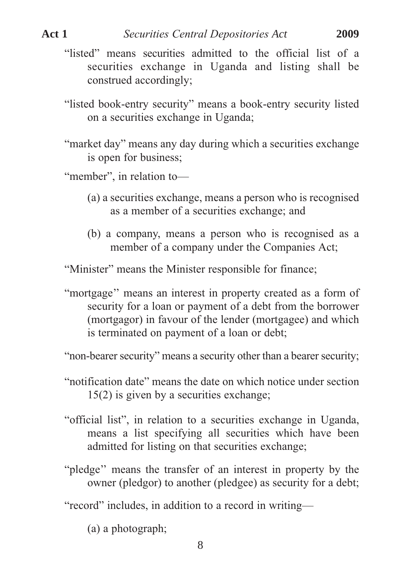- "listed" means securities admitted to the official list of a securities exchange in Uganda and listing shall be construed accordingly;
- "listed book-entry security" means a book-entry security listed on a securities exchange in Uganda;
- "market day" means any day during which a securities exchange is open for business;
- "member", in relation to-
	- (a) a securities exchange, means a person who is recognised as a member of a securities exchange; and
	- (b) a company, means a person who is recognised as a member of a company under the Companies Act;

"Minister" means the Minister responsible for finance;

"mortgage'' means an interest in property created as a form of security for a loan or payment of a debt from the borrower (mortgagor) in favour of the lender (mortgagee) and which is terminated on payment of a loan or debt;

"non-bearer security" means a security other than a bearer security;

- "notification date" means the date on which notice under section 15(2) is given by a securities exchange;
- "official list", in relation to a securities exchange in Uganda, means a list specifying all securities which have been admitted for listing on that securities exchange;
- "pledge'' means the transfer of an interest in property by the owner (pledgor) to another (pledgee) as security for a debt;

"record" includes, in addition to a record in writing—

(a) a photograph;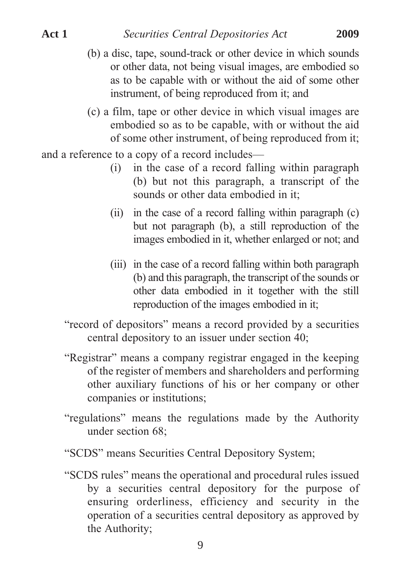instrument, of being reproduced from it; and

- (b) a disc, tape, sound-track or other device in which sounds or other data, not being visual images, are embodied so as to be capable with or without the aid of some other
- (c) a film, tape or other device in which visual images are embodied so as to be capable, with or without the aid of some other instrument, of being reproduced from it;

and a reference to a copy of a record includes—

- (i) in the case of a record falling within paragraph (b) but not this paragraph, a transcript of the sounds or other data embodied in it;
- (ii) in the case of a record falling within paragraph (c) but not paragraph (b), a still reproduction of the images embodied in it, whether enlarged or not; and
- (iii) in the case of a record falling within both paragraph (b) and this paragraph, the transcript of the sounds or other data embodied in it together with the still reproduction of the images embodied in it;
- "record of depositors" means a record provided by a securities central depository to an issuer under section 40;
- "Registrar" means a company registrar engaged in the keeping of the register of members and shareholders and performing other auxiliary functions of his or her company or other companies or institutions;
- "regulations" means the regulations made by the Authority under section 68;
- "SCDS" means Securities Central Depository System;
- "SCDS rules" means the operational and procedural rules issued by a securities central depository for the purpose of ensuring orderliness, efficiency and security in the operation of a securities central depository as approved by the Authority;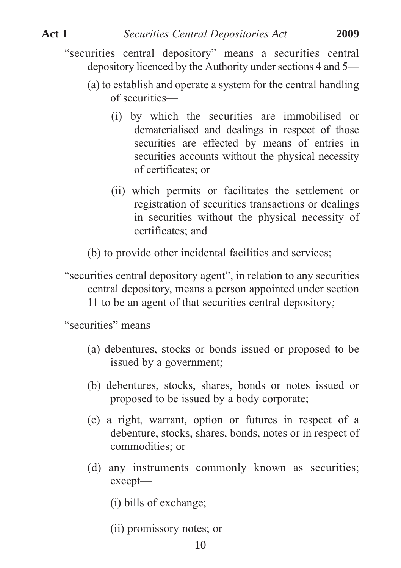- "securities central depository" means a securities central depository licenced by the Authority under sections 4 and 5—
	- (a) to establish and operate a system for the central handling of securities—
		- (i) by which the securities are immobilised or dematerialised and dealings in respect of those securities are effected by means of entries in securities accounts without the physical necessity of certificates; or
		- (ii) which permits or facilitates the settlement or registration of securities transactions or dealings in securities without the physical necessity of certificates; and
	- (b) to provide other incidental facilities and services;

"securities central depository agent", in relation to any securities central depository, means a person appointed under section 11 to be an agent of that securities central depository;

"securities" means—

- (a) debentures, stocks or bonds issued or proposed to be issued by a government;
- (b) debentures, stocks, shares, bonds or notes issued or proposed to be issued by a body corporate;
- (c) a right, warrant, option or futures in respect of a debenture, stocks, shares, bonds, notes or in respect of commodities; or
- (d) any instruments commonly known as securities; except—
	- (i) bills of exchange;
	- (ii) promissory notes; or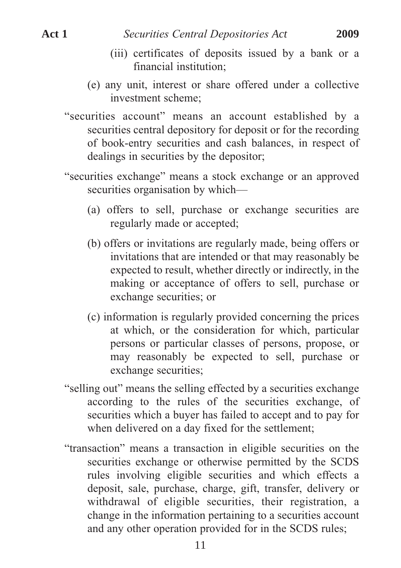- (iii) certificates of deposits issued by a bank or a financial institution;
- (e) any unit, interest or share offered under a collective investment scheme;
- "securities account" means an account established by a securities central depository for deposit or for the recording of book-entry securities and cash balances, in respect of dealings in securities by the depositor;
- "securities exchange" means a stock exchange or an approved securities organisation by which—
	- (a) offers to sell, purchase or exchange securities are regularly made or accepted;
	- (b) offers or invitations are regularly made, being offers or invitations that are intended or that may reasonably be expected to result, whether directly or indirectly, in the making or acceptance of offers to sell, purchase or exchange securities; or
	- (c) information is regularly provided concerning the prices at which, or the consideration for which, particular persons or particular classes of persons, propose, or may reasonably be expected to sell, purchase or exchange securities;
- "selling out" means the selling effected by a securities exchange according to the rules of the securities exchange, of securities which a buyer has failed to accept and to pay for when delivered on a day fixed for the settlement;
- "transaction" means a transaction in eligible securities on the securities exchange or otherwise permitted by the SCDS rules involving eligible securities and which effects a deposit, sale, purchase, charge, gift, transfer, delivery or withdrawal of eligible securities, their registration, a change in the information pertaining to a securities account and any other operation provided for in the SCDS rules;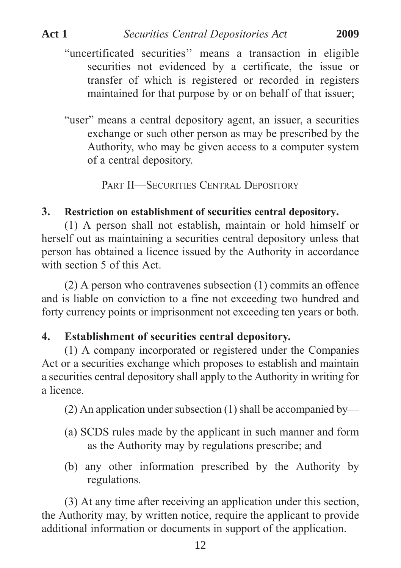- "uncertificated securities'' means a transaction in eligible securities not evidenced by a certificate, the issue or transfer of which is registered or recorded in registers maintained for that purpose by or on behalf of that issuer;
- "user" means a central depository agent, an issuer, a securities exchange or such other person as may be prescribed by the Authority, who may be given access to a computer system of a central depository.

PART II—SECURITIES CENTRAL DEPOSITORY

## **3. Restriction on establishment of securities central depository.**

(1) A person shall not establish, maintain or hold himself or herself out as maintaining a securities central depository unless that person has obtained a licence issued by the Authority in accordance with section 5 of this Act.

(2) A person who contravenes subsection (1) commits an offence and is liable on conviction to a fine not exceeding two hundred and forty currency points or imprisonment not exceeding ten years or both.

# **4. Establishment of securities central depository.**

(1) A company incorporated or registered under the Companies Act or a securities exchange which proposes to establish and maintain a securities central depository shall apply to the Authority in writing for a licence.

(2) An application under subsection (1) shall be accompanied by—

- (a) SCDS rules made by the applicant in such manner and form as the Authority may by regulations prescribe; and
- (b) any other information prescribed by the Authority by regulations.

(3) At any time after receiving an application under this section, the Authority may, by written notice, require the applicant to provide additional information or documents in support of the application.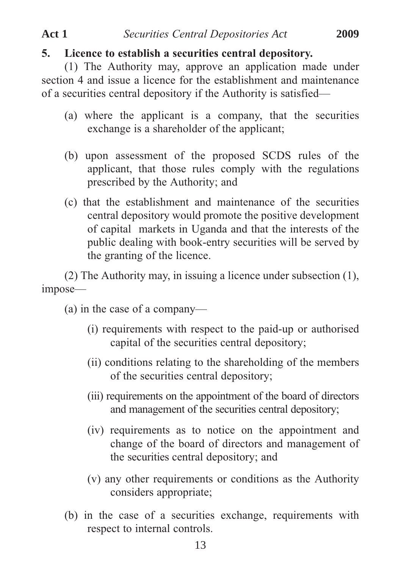## **5. Licence to establish a securities central depository.**

(1) The Authority may, approve an application made under section 4 and issue a licence for the establishment and maintenance of a securities central depository if the Authority is satisfied—

- (a) where the applicant is a company, that the securities exchange is a shareholder of the applicant;
- (b) upon assessment of the proposed SCDS rules of the applicant, that those rules comply with the regulations prescribed by the Authority; and
- (c) that the establishment and maintenance of the securities central depository would promote the positive development of capital markets in Uganda and that the interests of the public dealing with book-entry securities will be served by the granting of the licence.

(2) The Authority may, in issuing a licence under subsection (1), impose—

(a) in the case of a company—

- (i) requirements with respect to the paid-up or authorised capital of the securities central depository;
- (ii) conditions relating to the shareholding of the members of the securities central depository;
- (iii) requirements on the appointment of the board of directors and management of the securities central depository;
- (iv) requirements as to notice on the appointment and change of the board of directors and management of the securities central depository; and
- (v) any other requirements or conditions as the Authority considers appropriate;
- (b) in the case of a securities exchange, requirements with respect to internal controls.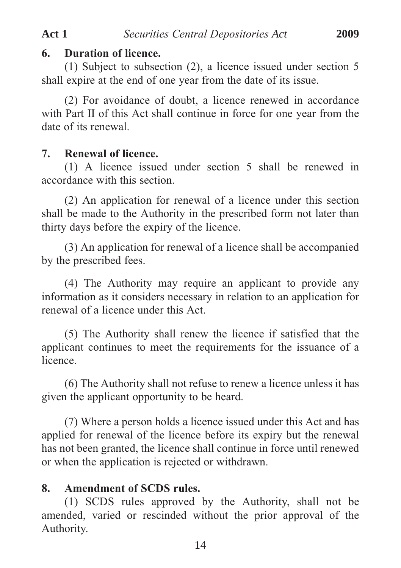#### **6. Duration of licence.**

(1) Subject to subsection (2), a licence issued under section 5 shall expire at the end of one year from the date of its issue.

(2) For avoidance of doubt, a licence renewed in accordance with Part II of this Act shall continue in force for one year from the date of its renewal.

### **7. Renewal of licence.**

(1) A licence issued under section 5 shall be renewed in accordance with this section.

(2) An application for renewal of a licence under this section shall be made to the Authority in the prescribed form not later than thirty days before the expiry of the licence.

(3) An application for renewal of a licence shall be accompanied by the prescribed fees.

(4) The Authority may require an applicant to provide any information as it considers necessary in relation to an application for renewal of a licence under this Act.

(5) The Authority shall renew the licence if satisfied that the applicant continues to meet the requirements for the issuance of a licence.

(6) The Authority shall not refuse to renew a licence unless it has given the applicant opportunity to be heard.

(7) Where a person holds a licence issued under this Act and has applied for renewal of the licence before its expiry but the renewal has not been granted, the licence shall continue in force until renewed or when the application is rejected or withdrawn.

# **8. Amendment of SCDS rules.**

(1) SCDS rules approved by the Authority, shall not be amended, varied or rescinded without the prior approval of the Authority.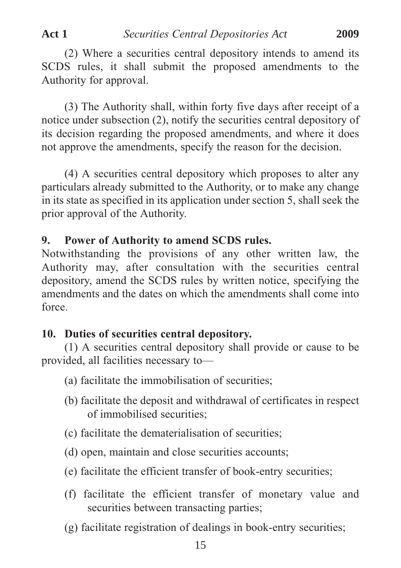(2) Where a securities central depository intends to amend its SCDS rules, it shall submit the proposed amendments to the Authority for approval.

(3) The Authority shall, within forty five days after receipt of a notice under subsection (2), notify the securities central depository of its decision regarding the proposed amendments, and where it does not approve the amendments, specify the reason for the decision.

(4) A securities central depository which proposes to alter any particulars already submitted to the Authority, or to make any change in its state as specified in its application under section 5, shall seek the prior approval of the Authority.

# **9. Power of Authority to amend SCDS rules.**

Notwithstanding the provisions of any other written law, the Authority may, after consultation with the securities central depository, amend the SCDS rules by written notice, specifying the amendments and the dates on which the amendments shall come into force.

#### **10. Duties of securities central depository.**

(1) A securities central depository shall provide or cause to be provided, all facilities necessary to—

- (a) facilitate the immobilisation of securities;
- (b) facilitate the deposit and withdrawal of certificates in respect of immobilised securities;
- (c) facilitate the dematerialisation of securities;
- (d) open, maintain and close securities accounts;
- (e) facilitate the efficient transfer of book-entry securities;
- (f) facilitate the efficient transfer of monetary value and securities between transacting parties;
- (g) facilitate registration of dealings in book-entry securities;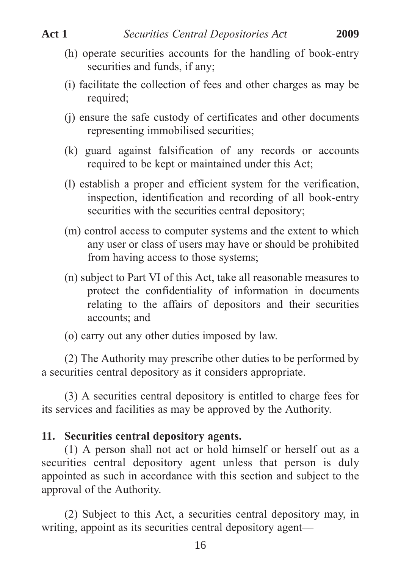- (h) operate securities accounts for the handling of book-entry securities and funds, if any;
- (i) facilitate the collection of fees and other charges as may be required;
- (j) ensure the safe custody of certificates and other documents representing immobilised securities;
- (k) guard against falsification of any records or accounts required to be kept or maintained under this Act;
- (l) establish a proper and efficient system for the verification, inspection, identification and recording of all book-entry securities with the securities central depository;
- (m) control access to computer systems and the extent to which any user or class of users may have or should be prohibited from having access to those systems;
- (n) subject to Part VI of this Act, take all reasonable measures to protect the confidentiality of information in documents relating to the affairs of depositors and their securities accounts; and
- (o) carry out any other duties imposed by law.

(2) The Authority may prescribe other duties to be performed by a securities central depository as it considers appropriate.

(3) A securities central depository is entitled to charge fees for its services and facilities as may be approved by the Authority.

#### **11. Securities central depository agents.**

(1) A person shall not act or hold himself or herself out as a securities central depository agent unless that person is duly appointed as such in accordance with this section and subject to the approval of the Authority.

(2) Subject to this Act, a securities central depository may, in writing, appoint as its securities central depository agent—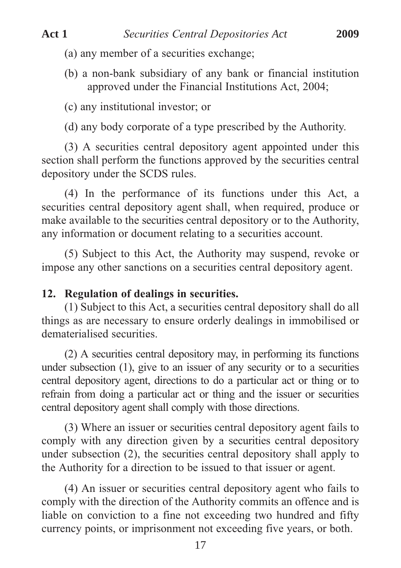- (a) any member of a securities exchange;
- (b) a non-bank subsidiary of any bank or financial institution approved under the Financial Institutions Act, 2004;

(c) any institutional investor; or

(d) any body corporate of a type prescribed by the Authority.

(3) A securities central depository agent appointed under this section shall perform the functions approved by the securities central depository under the SCDS rules.

(4) In the performance of its functions under this Act, a securities central depository agent shall, when required, produce or make available to the securities central depository or to the Authority, any information or document relating to a securities account.

(5) Subject to this Act, the Authority may suspend, revoke or impose any other sanctions on a securities central depository agent.

#### **12. Regulation of dealings in securities.**

(1) Subject to this Act, a securities central depository shall do all things as are necessary to ensure orderly dealings in immobilised or dematerialised securities.

(2) A securities central depository may, in performing its functions under subsection (1), give to an issuer of any security or to a securities central depository agent, directions to do a particular act or thing or to refrain from doing a particular act or thing and the issuer or securities central depository agent shall comply with those directions.

(3) Where an issuer or securities central depository agent fails to comply with any direction given by a securities central depository under subsection (2), the securities central depository shall apply to the Authority for a direction to be issued to that issuer or agent.

(4) An issuer or securities central depository agent who fails to comply with the direction of the Authority commits an offence and is liable on conviction to a fine not exceeding two hundred and fifty currency points, or imprisonment not exceeding five years, or both.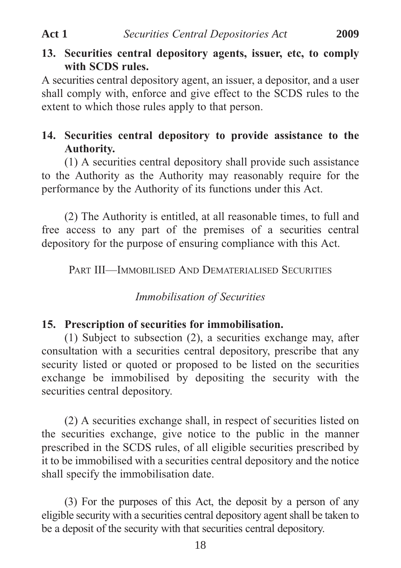# **13. Securities central depository agents, issuer, etc, to comply with SCDS rules.**

A securities central depository agent, an issuer, a depositor, and a user shall comply with, enforce and give effect to the SCDS rules to the extent to which those rules apply to that person.

# **14. Securities central depository to provide assistance to the Authority.**

(1) A securities central depository shall provide such assistance to the Authority as the Authority may reasonably require for the performance by the Authority of its functions under this Act.

(2) The Authority is entitled, at all reasonable times, to full and free access to any part of the premises of a securities central depository for the purpose of ensuring compliance with this Act.

PART III—IMMOBILISED AND DEMATERIALISED SECURITIES

#### *Immobilisation of Securities*

#### **15. Prescription of securities for immobilisation.**

(1) Subject to subsection (2), a securities exchange may, after consultation with a securities central depository, prescribe that any security listed or quoted or proposed to be listed on the securities exchange be immobilised by depositing the security with the securities central depository.

(2) A securities exchange shall, in respect of securities listed on the securities exchange, give notice to the public in the manner prescribed in the SCDS rules, of all eligible securities prescribed by it to be immobilised with a securities central depository and the notice shall specify the immobilisation date.

(3) For the purposes of this Act, the deposit by a person of any eligible security with a securities central depository agent shall be taken to be a deposit of the security with that securities central depository.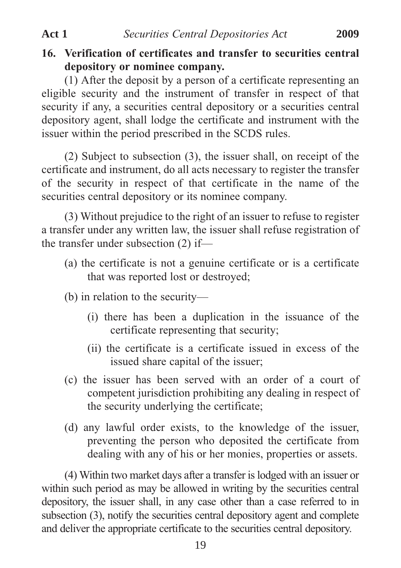# **16. Verification of certificates and transfer to securities central depository or nominee company.**

(1) After the deposit by a person of a certificate representing an eligible security and the instrument of transfer in respect of that security if any, a securities central depository or a securities central depository agent, shall lodge the certificate and instrument with the issuer within the period prescribed in the SCDS rules.

(2) Subject to subsection (3), the issuer shall, on receipt of the certificate and instrument, do all acts necessary to register the transfer of the security in respect of that certificate in the name of the securities central depository or its nominee company.

(3) Without prejudice to the right of an issuer to refuse to register a transfer under any written law, the issuer shall refuse registration of the transfer under subsection (2) if—

- (a) the certificate is not a genuine certificate or is a certificate that was reported lost or destroyed;
- (b) in relation to the security—
	- (i) there has been a duplication in the issuance of the certificate representing that security;
	- (ii) the certificate is a certificate issued in excess of the issued share capital of the issuer;
- (c) the issuer has been served with an order of a court of competent jurisdiction prohibiting any dealing in respect of the security underlying the certificate;
- (d) any lawful order exists, to the knowledge of the issuer, preventing the person who deposited the certificate from dealing with any of his or her monies, properties or assets.

(4) Within two market days after a transfer is lodged with an issuer or within such period as may be allowed in writing by the securities central depository, the issuer shall, in any case other than a case referred to in subsection (3), notify the securities central depository agent and complete and deliver the appropriate certificate to the securities central depository.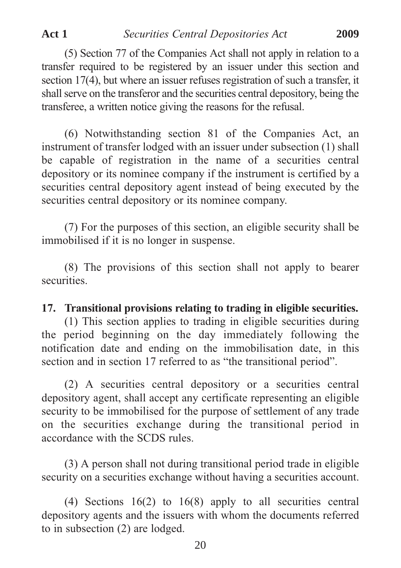(5) Section 77 of the Companies Act shall not apply in relation to a transfer required to be registered by an issuer under this section and section 17(4), but where an issuer refuses registration of such a transfer, it shall serve on the transferor and the securities central depository, being the transferee, a written notice giving the reasons for the refusal.

(6) Notwithstanding section 81 of the Companies Act, an instrument of transfer lodged with an issuer under subsection (1) shall be capable of registration in the name of a securities central depository or its nominee company if the instrument is certified by a securities central depository agent instead of being executed by the securities central depository or its nominee company.

(7) For the purposes of this section, an eligible security shall be immobilised if it is no longer in suspense.

(8) The provisions of this section shall not apply to bearer securities.

#### **17. Transitional provisions relating to trading in eligible securities.**

(1) This section applies to trading in eligible securities during the period beginning on the day immediately following the notification date and ending on the immobilisation date, in this section and in section 17 referred to as "the transitional period".

(2) A securities central depository or a securities central depository agent, shall accept any certificate representing an eligible security to be immobilised for the purpose of settlement of any trade on the securities exchange during the transitional period in accordance with the SCDS rules.

(3) A person shall not during transitional period trade in eligible security on a securities exchange without having a securities account.

(4) Sections 16(2) to 16(8) apply to all securities central depository agents and the issuers with whom the documents referred to in subsection (2) are lodged.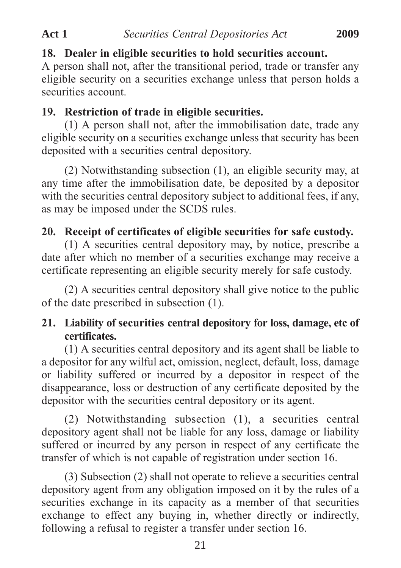# **18. Dealer in eligible securities to hold securities account.**

A person shall not, after the transitional period, trade or transfer any eligible security on a securities exchange unless that person holds a securities account.

# **19. Restriction of trade in eligible securities.**

(1) A person shall not, after the immobilisation date, trade any eligible security on a securities exchange unless that security has been deposited with a securities central depository.

(2) Notwithstanding subsection (1), an eligible security may, at any time after the immobilisation date, be deposited by a depositor with the securities central depository subject to additional fees, if any, as may be imposed under the SCDS rules.

# **20. Receipt of certificates of eligible securities for safe custody.**

(1) A securities central depository may, by notice, prescribe a date after which no member of a securities exchange may receive a certificate representing an eligible security merely for safe custody.

(2) A securities central depository shall give notice to the public of the date prescribed in subsection (1).

# **21. Liability of securities central depository for loss, damage, etc of certificates.**

(1) A securities central depository and its agent shall be liable to a depositor for any wilful act, omission, neglect, default, loss, damage or liability suffered or incurred by a depositor in respect of the disappearance, loss or destruction of any certificate deposited by the depositor with the securities central depository or its agent.

(2) Notwithstanding subsection (1), a securities central depository agent shall not be liable for any loss, damage or liability suffered or incurred by any person in respect of any certificate the transfer of which is not capable of registration under section 16.

(3) Subsection (2) shall not operate to relieve a securities central depository agent from any obligation imposed on it by the rules of a securities exchange in its capacity as a member of that securities exchange to effect any buying in, whether directly or indirectly, following a refusal to register a transfer under section 16.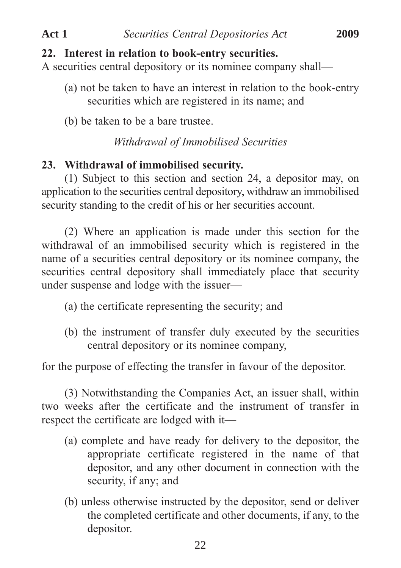#### **22. Interest in relation to book-entry securities.**

A securities central depository or its nominee company shall—

- (a) not be taken to have an interest in relation to the book-entry securities which are registered in its name; and
- (b) be taken to be a bare trustee.

## *Withdrawal of Immobilised Securities*

### **23. Withdrawal of immobilised security.**

(1) Subject to this section and section 24, a depositor may, on application to the securities central depository, withdraw an immobilised security standing to the credit of his or her securities account.

(2) Where an application is made under this section for the withdrawal of an immobilised security which is registered in the name of a securities central depository or its nominee company, the securities central depository shall immediately place that security under suspense and lodge with the issuer—

- (a) the certificate representing the security; and
- (b) the instrument of transfer duly executed by the securities central depository or its nominee company,

for the purpose of effecting the transfer in favour of the depositor.

(3) Notwithstanding the Companies Act, an issuer shall, within two weeks after the certificate and the instrument of transfer in respect the certificate are lodged with it—

- (a) complete and have ready for delivery to the depositor, the appropriate certificate registered in the name of that depositor, and any other document in connection with the security, if any; and
- (b) unless otherwise instructed by the depositor, send or deliver the completed certificate and other documents, if any, to the depositor.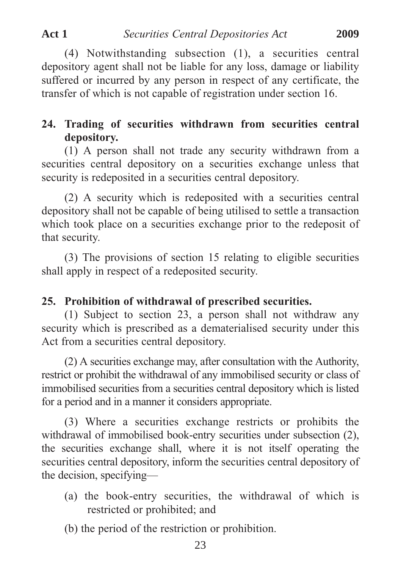(4) Notwithstanding subsection (1), a securities central depository agent shall not be liable for any loss, damage or liability suffered or incurred by any person in respect of any certificate, the transfer of which is not capable of registration under section 16.

# **24. Trading of securities withdrawn from securities central depository.**

(1) A person shall not trade any security withdrawn from a securities central depository on a securities exchange unless that security is redeposited in a securities central depository.

(2) A security which is redeposited with a securities central depository shall not be capable of being utilised to settle a transaction which took place on a securities exchange prior to the redeposit of that security.

(3) The provisions of section 15 relating to eligible securities shall apply in respect of a redeposited security.

# **25. Prohibition of withdrawal of prescribed securities.**

(1) Subject to section 23, a person shall not withdraw any security which is prescribed as a dematerialised security under this Act from a securities central depository.

(2) A securities exchange may, after consultation with the Authority, restrict or prohibit the withdrawal of any immobilised security or class of immobilised securities from a securities central depository which is listed for a period and in a manner it considers appropriate.

(3) Where a securities exchange restricts or prohibits the withdrawal of immobilised book-entry securities under subsection (2), the securities exchange shall, where it is not itself operating the securities central depository, inform the securities central depository of the decision, specifying—

- (a) the book-entry securities, the withdrawal of which is restricted or prohibited; and
- (b) the period of the restriction or prohibition.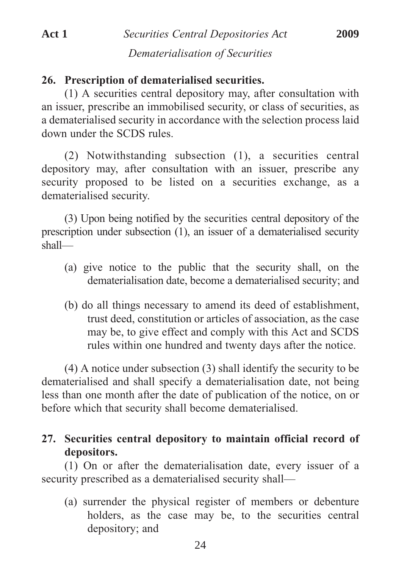## **26. Prescription of dematerialised securities.**

(1) A securities central depository may, after consultation with an issuer, prescribe an immobilised security, or class of securities, as a dematerialised security in accordance with the selection process laid down under the SCDS rules.

(2) Notwithstanding subsection (1), a securities central depository may, after consultation with an issuer, prescribe any security proposed to be listed on a securities exchange, as a dematerialised security.

(3) Upon being notified by the securities central depository of the prescription under subsection (1), an issuer of a dematerialised security shall—

- (a) give notice to the public that the security shall, on the dematerialisation date, become a dematerialised security; and
- (b) do all things necessary to amend its deed of establishment, trust deed, constitution or articles of association, as the case may be, to give effect and comply with this Act and SCDS rules within one hundred and twenty days after the notice.

(4) A notice under subsection (3) shall identify the security to be dematerialised and shall specify a dematerialisation date, not being less than one month after the date of publication of the notice, on or before which that security shall become dematerialised.

# **27. Securities central depository to maintain official record of depositors.**

(1) On or after the dematerialisation date, every issuer of a security prescribed as a dematerialised security shall—

(a) surrender the physical register of members or debenture holders, as the case may be, to the securities central depository; and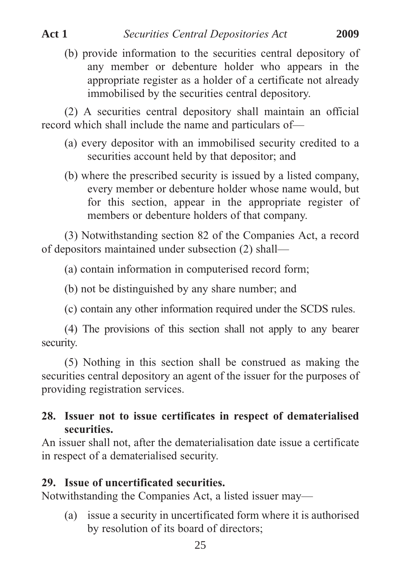(b) provide information to the securities central depository of any member or debenture holder who appears in the appropriate register as a holder of a certificate not already immobilised by the securities central depository.

(2) A securities central depository shall maintain an official record which shall include the name and particulars of—

- (a) every depositor with an immobilised security credited to a securities account held by that depositor; and
- (b) where the prescribed security is issued by a listed company, every member or debenture holder whose name would, but for this section, appear in the appropriate register of members or debenture holders of that company.

(3) Notwithstanding section 82 of the Companies Act, a record of depositors maintained under subsection (2) shall—

(a) contain information in computerised record form;

(b) not be distinguished by any share number; and

(c) contain any other information required under the SCDS rules.

(4) The provisions of this section shall not apply to any bearer security.

(5) Nothing in this section shall be construed as making the securities central depository an agent of the issuer for the purposes of providing registration services.

# **28. Issuer not to issue certificates in respect of dematerialised securities.**

An issuer shall not, after the dematerialisation date issue a certificate in respect of a dematerialised security.

# **29. Issue of uncertificated securities.**

Notwithstanding the Companies Act, a listed issuer may—

(a) issue a security in uncertificated form where it is authorised by resolution of its board of directors;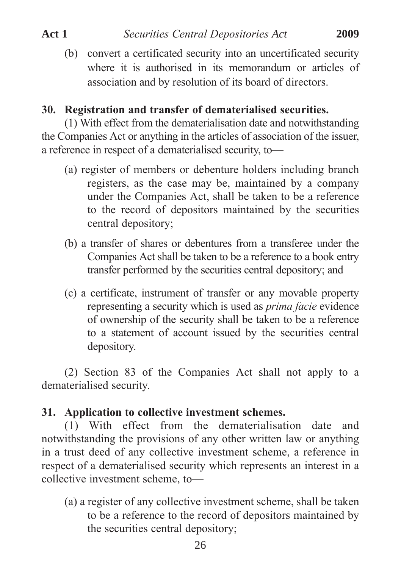(b) convert a certificated security into an uncertificated security where it is authorised in its memorandum or articles of association and by resolution of its board of directors.

# **30. Registration and transfer of dematerialised securities.**

(1) With effect from the dematerialisation date and notwithstanding the Companies Act or anything in the articles of association of the issuer, a reference in respect of a dematerialised security, to—

- (a) register of members or debenture holders including branch registers, as the case may be, maintained by a company under the Companies Act, shall be taken to be a reference to the record of depositors maintained by the securities central depository;
- (b) a transfer of shares or debentures from a transferee under the Companies Act shall be taken to be a reference to a book entry transfer performed by the securities central depository; and
- (c) a certificate, instrument of transfer or any movable property representing a security which is used as *prima facie* evidence of ownership of the security shall be taken to be a reference to a statement of account issued by the securities central depository.

(2) Section 83 of the Companies Act shall not apply to a dematerialised security.

## **31. Application to collective investment schemes.**

(1) With effect from the dematerialisation date and notwithstanding the provisions of any other written law or anything in a trust deed of any collective investment scheme, a reference in respect of a dematerialised security which represents an interest in a collective investment scheme, to—

(a) a register of any collective investment scheme, shall be taken to be a reference to the record of depositors maintained by the securities central depository;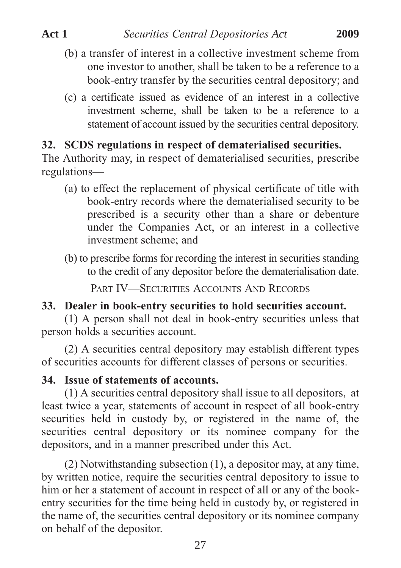- (b) a transfer of interest in a collective investment scheme from one investor to another, shall be taken to be a reference to a book-entry transfer by the securities central depository; and
- (c) a certificate issued as evidence of an interest in a collective investment scheme, shall be taken to be a reference to a statement of account issued by the securities central depository.

## **32. SCDS regulations in respect of dematerialised securities.**

The Authority may, in respect of dematerialised securities, prescribe regulations—

- (a) to effect the replacement of physical certificate of title with book-entry records where the dematerialised security to be prescribed is a security other than a share or debenture under the Companies Act, or an interest in a collective investment scheme; and
- (b) to prescribe forms for recording the interest in securities standing to the credit of any depositor before the dematerialisation date.

PART IV—SECURITIES ACCOUNTS AND RECORDS

## **33. Dealer in book-entry securities to hold securities account.**

(1) A person shall not deal in book-entry securities unless that person holds a securities account.

(2) A securities central depository may establish different types of securities accounts for different classes of persons or securities.

#### **34. Issue of statements of accounts.**

(1) A securities central depository shall issue to all depositors, at least twice a year, statements of account in respect of all book-entry securities held in custody by, or registered in the name of, the securities central depository or its nominee company for the depositors, and in a manner prescribed under this Act.

(2) Notwithstanding subsection (1), a depositor may, at any time, by written notice, require the securities central depository to issue to him or her a statement of account in respect of all or any of the bookentry securities for the time being held in custody by, or registered in the name of, the securities central depository or its nominee company on behalf of the depositor.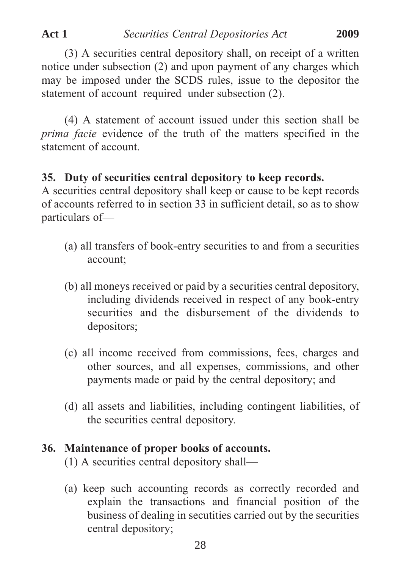(3) A securities central depository shall, on receipt of a written notice under subsection (2) and upon payment of any charges which may be imposed under the SCDS rules, issue to the depositor the statement of account required under subsection (2).

(4) A statement of account issued under this section shall be *prima facie* evidence of the truth of the matters specified in the statement of account.

#### **35. Duty of securities central depository to keep records.**

A securities central depository shall keep or cause to be kept records of accounts referred to in section 33 in sufficient detail, so as to show particulars of—

- (a) all transfers of book-entry securities to and from a securities account;
- (b) all moneys received or paid by a securities central depository, including dividends received in respect of any book-entry securities and the disbursement of the dividends to depositors;
- (c) all income received from commissions, fees, charges and other sources, and all expenses, commissions, and other payments made or paid by the central depository; and
- (d) all assets and liabilities, including contingent liabilities, of the securities central depository.

#### **36. Maintenance of proper books of accounts.**

(1) A securities central depository shall—

(a) keep such accounting records as correctly recorded and explain the transactions and financial position of the business of dealing in secutities carried out by the securities central depository;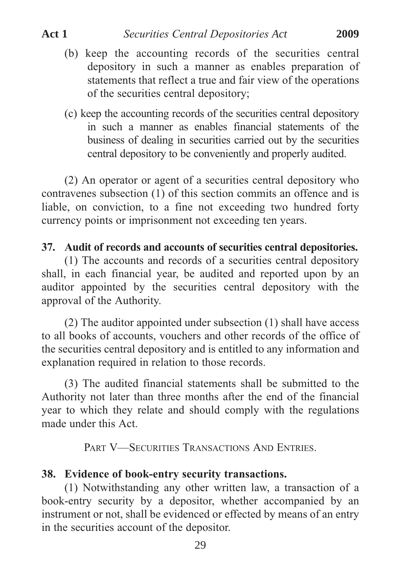- (b) keep the accounting records of the securities central depository in such a manner as enables preparation of statements that reflect a true and fair view of the operations of the securities central depository;
- (c) keep the accounting records of the securities central depository in such a manner as enables financial statements of the business of dealing in securities carried out by the securities central depository to be conveniently and properly audited.

(2) An operator or agent of a securities central depository who contravenes subsection (1) of this section commits an offence and is liable, on conviction, to a fine not exceeding two hundred forty currency points or imprisonment not exceeding ten years.

# **37. Audit of records and accounts of securities central depositories.**

(1) The accounts and records of a securities central depository shall, in each financial year, be audited and reported upon by an auditor appointed by the securities central depository with the approval of the Authority.

(2) The auditor appointed under subsection (1) shall have access to all books of accounts, vouchers and other records of the office of the securities central depository and is entitled to any information and explanation required in relation to those records.

(3) The audited financial statements shall be submitted to the Authority not later than three months after the end of the financial year to which they relate and should comply with the regulations made under this Act.

PART V—SECURITIES TRANSACTIONS AND ENTRIES.

# **38. Evidence of book-entry security transactions.**

(1) Notwithstanding any other written law, a transaction of a book-entry security by a depositor, whether accompanied by an instrument or not, shall be evidenced or effected by means of an entry in the securities account of the depositor.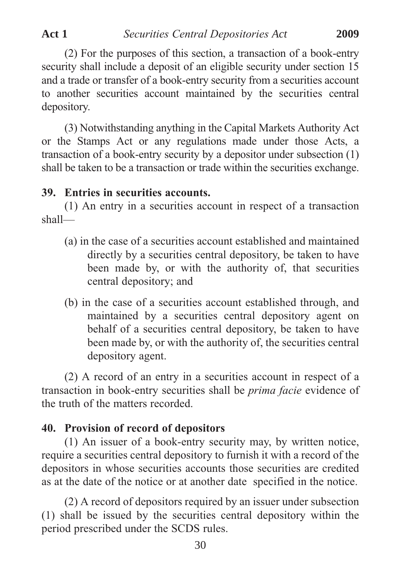(2) For the purposes of this section, a transaction of a book-entry security shall include a deposit of an eligible security under section 15 and a trade or transfer of a book-entry security from a securities account to another securities account maintained by the securities central depository.

(3) Notwithstanding anything in the Capital Markets Authority Act or the Stamps Act or any regulations made under those Acts, a transaction of a book-entry security by a depositor under subsection (1) shall be taken to be a transaction or trade within the securities exchange.

#### **39. Entries in securities accounts.**

(1) An entry in a securities account in respect of a transaction shall—

- (a) in the case of a securities account established and maintained directly by a securities central depository, be taken to have been made by, or with the authority of, that securities central depository; and
- (b) in the case of a securities account established through, and maintained by a securities central depository agent on behalf of a securities central depository, be taken to have been made by, or with the authority of, the securities central depository agent.

(2) A record of an entry in a securities account in respect of a transaction in book-entry securities shall be *prima facie* evidence of the truth of the matters recorded.

### **40. Provision of record of depositors**

(1) An issuer of a book-entry security may, by written notice, require a securities central depository to furnish it with a record of the depositors in whose securities accounts those securities are credited as at the date of the notice or at another date specified in the notice.

(2) A record of depositors required by an issuer under subsection (1) shall be issued by the securities central depository within the period prescribed under the SCDS rules.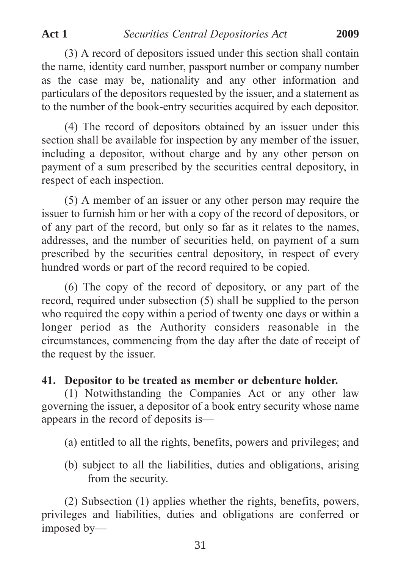(3) A record of depositors issued under this section shall contain the name, identity card number, passport number or company number as the case may be, nationality and any other information and particulars of the depositors requested by the issuer, and a statement as to the number of the book-entry securities acquired by each depositor.

(4) The record of depositors obtained by an issuer under this section shall be available for inspection by any member of the issuer, including a depositor, without charge and by any other person on payment of a sum prescribed by the securities central depository, in respect of each inspection.

(5) A member of an issuer or any other person may require the issuer to furnish him or her with a copy of the record of depositors, or of any part of the record, but only so far as it relates to the names, addresses, and the number of securities held, on payment of a sum prescribed by the securities central depository, in respect of every hundred words or part of the record required to be copied.

(6) The copy of the record of depository, or any part of the record, required under subsection (5) shall be supplied to the person who required the copy within a period of twenty one days or within a longer period as the Authority considers reasonable in the circumstances, commencing from the day after the date of receipt of the request by the issuer.

# **41. Depositor to be treated as member or debenture holder.**

(1) Notwithstanding the Companies Act or any other law governing the issuer, a depositor of a book entry security whose name appears in the record of deposits is—

(a) entitled to all the rights, benefits, powers and privileges; and

(b) subject to all the liabilities, duties and obligations, arising from the security.

(2) Subsection (1) applies whether the rights, benefits, powers, privileges and liabilities, duties and obligations are conferred or imposed by—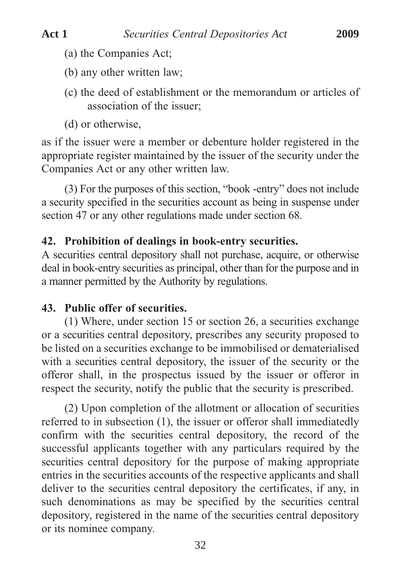- (a) the Companies Act;
- (b) any other written law;
- (c) the deed of establishment or the memorandum or articles of association of the issuer;
- (d) or otherwise,

as if the issuer were a member or debenture holder registered in the appropriate register maintained by the issuer of the security under the Companies Act or any other written law.

(3) For the purposes of this section, "book -entry" does not include a security specified in the securities account as being in suspense under section 47 or any other regulations made under section 68.

## **42. Prohibition of dealings in book-entry securities.**

A securities central depository shall not purchase, acquire, or otherwise deal in book-entry securities as principal, other than for the purpose and in a manner permitted by the Authority by regulations.

### **43. Public offer of securities.**

(1) Where, under section 15 or section 26, a securities exchange or a securities central depository, prescribes any security proposed to be listed on a securities exchange to be immobilised or dematerialised with a securities central depository, the issuer of the security or the offeror shall, in the prospectus issued by the issuer or offeror in respect the security, notify the public that the security is prescribed.

(2) Upon completion of the allotment or allocation of securities referred to in subsection (1), the issuer or offeror shall immediatedly confirm with the securities central depository, the record of the successful applicants together with any particulars required by the securities central depository for the purpose of making appropriate entries in the securities accounts of the respective applicants and shall deliver to the securities central depository the certificates, if any, in such denominations as may be specified by the securities central depository, registered in the name of the securities central depository or its nominee company.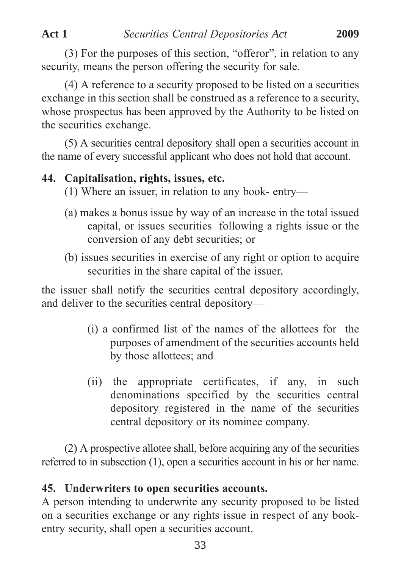(3) For the purposes of this section, "offeror", in relation to any security, means the person offering the security for sale.

(4) A reference to a security proposed to be listed on a securities exchange in this section shall be construed as a reference to a security, whose prospectus has been approved by the Authority to be listed on the securities exchange.

(5) A securities central depository shall open a securities account in the name of every successful applicant who does not hold that account.

## **44. Capitalisation, rights, issues, etc.**

- (1) Where an issuer, in relation to any book- entry—
- (a) makes a bonus issue by way of an increase in the total issued capital, or issues securities following a rights issue or the conversion of any debt securities; or
- (b) issues securities in exercise of any right or option to acquire securities in the share capital of the issuer,

the issuer shall notify the securities central depository accordingly, and deliver to the securities central depository—

- (i) a confirmed list of the names of the allottees for the purposes of amendment of the securities accounts held by those allottees; and
- (ii) the appropriate certificates, if any, in such denominations specified by the securities central depository registered in the name of the securities central depository or its nominee company.

(2) A prospective allotee shall, before acquiring any of the securities referred to in subsection (1), open a securities account in his or her name.

# **45. Underwriters to open securities accounts.**

A person intending to underwrite any security proposed to be listed on a securities exchange or any rights issue in respect of any bookentry security, shall open a securities account.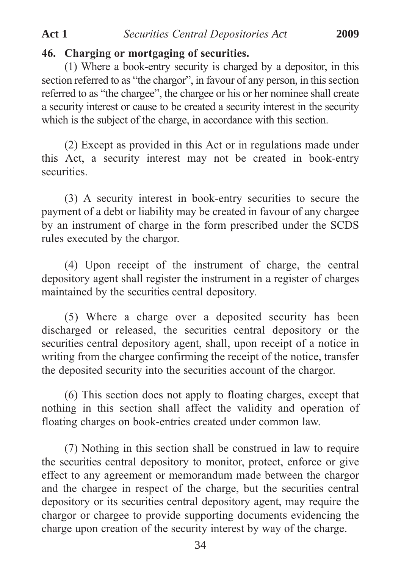## **46. Charging or mortgaging of securities.**

(1) Where a book-entry security is charged by a depositor, in this section referred to as "the chargor", in favour of any person, in this section referred to as "the chargee", the chargee or his or her nominee shall create a security interest or cause to be created a security interest in the security which is the subject of the charge, in accordance with this section.

(2) Except as provided in this Act or in regulations made under this Act, a security interest may not be created in book-entry securities.

(3) A security interest in book-entry securities to secure the payment of a debt or liability may be created in favour of any chargee by an instrument of charge in the form prescribed under the SCDS rules executed by the chargor.

(4) Upon receipt of the instrument of charge, the central depository agent shall register the instrument in a register of charges maintained by the securities central depository.

(5) Where a charge over a deposited security has been discharged or released, the securities central depository or the securities central depository agent, shall, upon receipt of a notice in writing from the chargee confirming the receipt of the notice, transfer the deposited security into the securities account of the chargor.

(6) This section does not apply to floating charges, except that nothing in this section shall affect the validity and operation of floating charges on book-entries created under common law.

(7) Nothing in this section shall be construed in law to require the securities central depository to monitor, protect, enforce or give effect to any agreement or memorandum made between the chargor and the chargee in respect of the charge, but the securities central depository or its securities central depository agent, may require the chargor or chargee to provide supporting documents evidencing the charge upon creation of the security interest by way of the charge.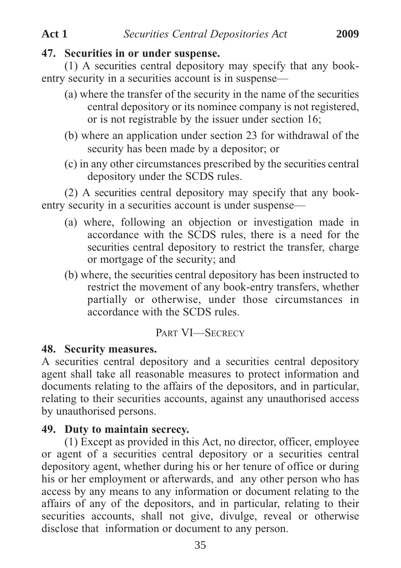#### **47. Securities in or under suspense.**

(1) A securities central depository may specify that any bookentry security in a securities account is in suspense—

- (a) where the transfer of the security in the name of the securities central depository or its nominee company is not registered, or is not registrable by the issuer under section 16;
- (b) where an application under section 23 for withdrawal of the security has been made by a depositor; or
- (c) in any other circumstances prescribed by the securities central depository under the SCDS rules.

(2) A securities central depository may specify that any bookentry security in a securities account is under suspense—

- (a) where, following an objection or investigation made in accordance with the SCDS rules, there is a need for the securities central depository to restrict the transfer, charge or mortgage of the security; and
- (b) where, the securities central depository has been instructed to restrict the movement of any book-entry transfers, whether partially or otherwise, under those circumstances in accordance with the SCDS rules.

### PART VI—SECRECY

### **48. Security measures.**

A securities central depository and a securities central depository agent shall take all reasonable measures to protect information and documents relating to the affairs of the depositors, and in particular, relating to their securities accounts, against any unauthorised access by unauthorised persons.

### **49. Duty to maintain secrecy.**

(1) Except as provided in this Act, no director, officer, employee or agent of a securities central depository or a securities central depository agent, whether during his or her tenure of office or during his or her employment or afterwards, and any other person who has access by any means to any information or document relating to the affairs of any of the depositors, and in particular, relating to their securities accounts, shall not give, divulge, reveal or otherwise disclose that information or document to any person.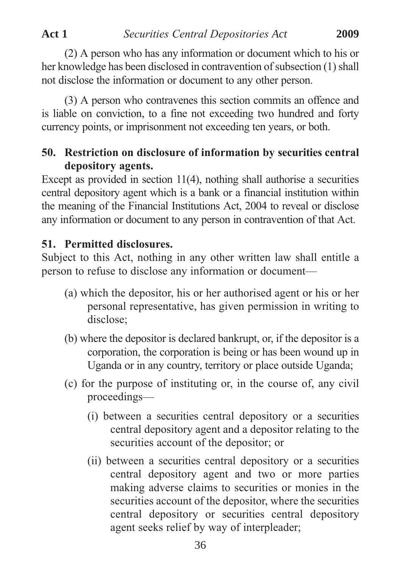(2) A person who has any information or document which to his or her knowledge has been disclosed in contravention of subsection (1) shall not disclose the information or document to any other person.

(3) A person who contravenes this section commits an offence and is liable on conviction, to a fine not exceeding two hundred and forty currency points, or imprisonment not exceeding ten years, or both.

# **50. Restriction on disclosure of information by securities central depository agents.**

Except as provided in section 11(4), nothing shall authorise a securities central depository agent which is a bank or a financial institution within the meaning of the Financial Institutions Act, 2004 to reveal or disclose any information or document to any person in contravention of that Act.

# **51. Permitted disclosures.**

Subject to this Act, nothing in any other written law shall entitle a person to refuse to disclose any information or document—

- (a) which the depositor, his or her authorised agent or his or her personal representative, has given permission in writing to disclose;
- (b) where the depositor is declared bankrupt, or, if the depositor is a corporation, the corporation is being or has been wound up in Uganda or in any country, territory or place outside Uganda;
- (c) for the purpose of instituting or, in the course of, any civil proceedings—
	- (i) between a securities central depository or a securities central depository agent and a depositor relating to the securities account of the depositor; or
	- (ii) between a securities central depository or a securities central depository agent and two or more parties making adverse claims to securities or monies in the securities account of the depositor, where the securities central depository or securities central depository agent seeks relief by way of interpleader;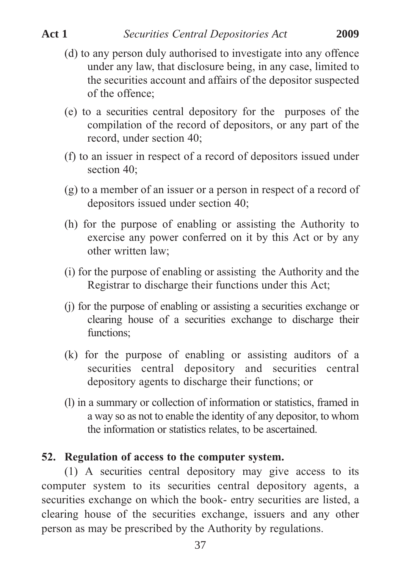- (d) to any person duly authorised to investigate into any offence under any law, that disclosure being, in any case, limited to the securities account and affairs of the depositor suspected of the offence;
- (e) to a securities central depository for the purposes of the compilation of the record of depositors, or any part of the record, under section 40;
- (f) to an issuer in respect of a record of depositors issued under section 40:
- (g) to a member of an issuer or a person in respect of a record of depositors issued under section 40;
- (h) for the purpose of enabling or assisting the Authority to exercise any power conferred on it by this Act or by any other written law;
- (i) for the purpose of enabling or assisting the Authority and the Registrar to discharge their functions under this Act;
- (j) for the purpose of enabling or assisting a securities exchange or clearing house of a securities exchange to discharge their functions;
- (k) for the purpose of enabling or assisting auditors of a securities central depository and securities central depository agents to discharge their functions; or
- (l) in a summary or collection of information or statistics, framed in a way so as not to enable the identity of any depositor, to whom the information or statistics relates, to be ascertained.

# **52. Regulation of access to the computer system.**

(1) A securities central depository may give access to its computer system to its securities central depository agents, a securities exchange on which the book- entry securities are listed, a clearing house of the securities exchange, issuers and any other person as may be prescribed by the Authority by regulations.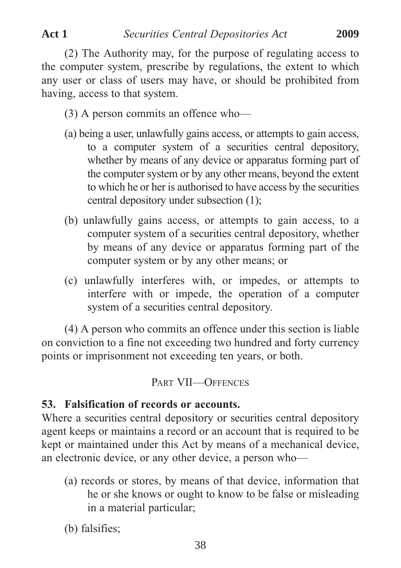(2) The Authority may, for the purpose of regulating access to the computer system, prescribe by regulations, the extent to which any user or class of users may have, or should be prohibited from having, access to that system.

- (3) A person commits an offence who—
- (a) being a user, unlawfully gains access, or attempts to gain access, to a computer system of a securities central depository, whether by means of any device or apparatus forming part of the computer system or by any other means, beyond the extent to which he or her is authorised to have access by the securities central depository under subsection (1);
- (b) unlawfully gains access, or attempts to gain access, to a computer system of a securities central depository, whether by means of any device or apparatus forming part of the computer system or by any other means; or
- (c) unlawfully interferes with, or impedes, or attempts to interfere with or impede, the operation of a computer system of a securities central depository.

(4) A person who commits an offence under this section is liable on conviction to a fine not exceeding two hundred and forty currency points or imprisonment not exceeding ten years, or both.

# PART VII—OFFENCES

# **53. Falsification of records or accounts.**

Where a securities central depository or securities central depository agent keeps or maintains a record or an account that is required to be kept or maintained under this Act by means of a mechanical device, an electronic device, or any other device, a person who—

- (a) records or stores, by means of that device, information that he or she knows or ought to know to be false or misleading in a material particular;
- (b) falsifies;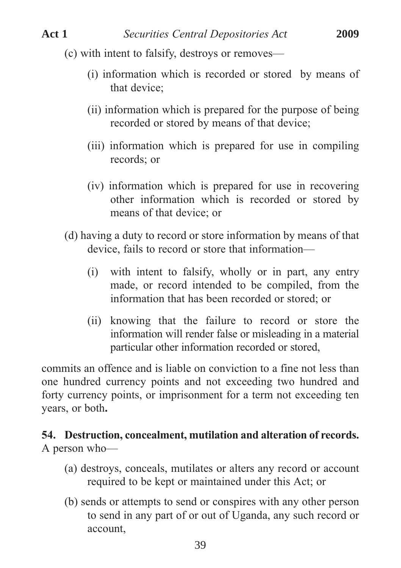- (c) with intent to falsify, destroys or removes—
	- (i) information which is recorded or stored by means of that device;
	- (ii) information which is prepared for the purpose of being recorded or stored by means of that device;
	- (iii) information which is prepared for use in compiling records; or
	- (iv) information which is prepared for use in recovering other information which is recorded or stored by means of that device; or
- (d) having a duty to record or store information by means of that device, fails to record or store that information—
	- (i) with intent to falsify, wholly or in part, any entry made, or record intended to be compiled, from the information that has been recorded or stored; or
	- (ii) knowing that the failure to record or store the information will render false or misleading in a material particular other information recorded or stored,

commits an offence and is liable on conviction to a fine not less than one hundred currency points and not exceeding two hundred and forty currency points, or imprisonment for a term not exceeding ten years, or both**.**

# **54. Destruction, concealment, mutilation and alteration of records.** A person who—

- (a) destroys, conceals, mutilates or alters any record or account required to be kept or maintained under this Act; or
- (b) sends or attempts to send or conspires with any other person to send in any part of or out of Uganda, any such record or account,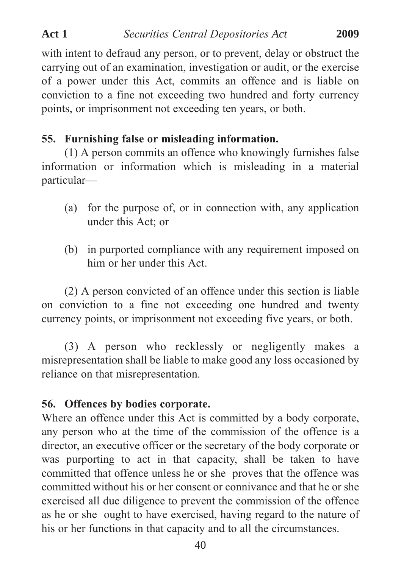with intent to defraud any person, or to prevent, delay or obstruct the carrying out of an examination, investigation or audit, or the exercise of a power under this Act, commits an offence and is liable on conviction to a fine not exceeding two hundred and forty currency points, or imprisonment not exceeding ten years, or both.

### **55. Furnishing false or misleading information.**

(1) A person commits an offence who knowingly furnishes false information or information which is misleading in a material particular—

- (a) for the purpose of, or in connection with, any application under this Act; or
- (b) in purported compliance with any requirement imposed on him or her under this Act.

(2) A person convicted of an offence under this section is liable on conviction to a fine not exceeding one hundred and twenty currency points, or imprisonment not exceeding five years, or both.

(3) A person who recklessly or negligently makes a misrepresentation shall be liable to make good any loss occasioned by reliance on that misrepresentation.

### **56. Offences by bodies corporate.**

Where an offence under this Act is committed by a body corporate, any person who at the time of the commission of the offence is a director, an executive officer or the secretary of the body corporate or was purporting to act in that capacity, shall be taken to have committed that offence unless he or she proves that the offence was committed without his or her consent or connivance and that he or she exercised all due diligence to prevent the commission of the offence as he or she ought to have exercised, having regard to the nature of his or her functions in that capacity and to all the circumstances.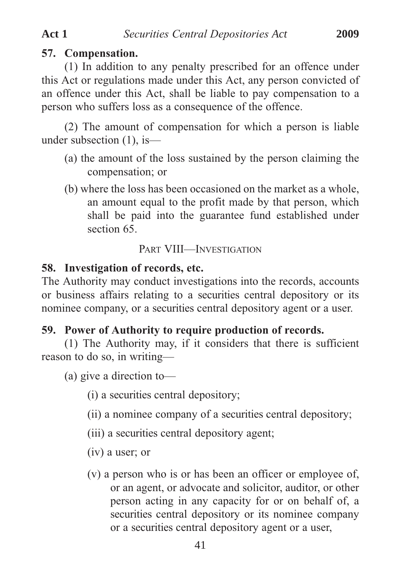# **57. Compensation.**

(1) In addition to any penalty prescribed for an offence under this Act or regulations made under this Act, any person convicted of an offence under this Act, shall be liable to pay compensation to a person who suffers loss as a consequence of the offence.

(2) The amount of compensation for which a person is liable under subsection (1), is—

- (a) the amount of the loss sustained by the person claiming the compensation; or
- (b) where the loss has been occasioned on the market as a whole, an amount equal to the profit made by that person, which shall be paid into the guarantee fund established under section 65

## PART VIII—INVESTIGATION

### **58. Investigation of records, etc.**

The Authority may conduct investigations into the records, accounts or business affairs relating to a securities central depository or its nominee company, or a securities central depository agent or a user.

### **59. Power of Authority to require production of records.**

(1) The Authority may, if it considers that there is sufficient reason to do so, in writing—

(a) give a direction to—

(i) a securities central depository;

(ii) a nominee company of a securities central depository;

(iii) a securities central depository agent;

(iv) a user; or

(v) a person who is or has been an officer or employee of, or an agent, or advocate and solicitor, auditor, or other person acting in any capacity for or on behalf of, a securities central depository or its nominee company or a securities central depository agent or a user,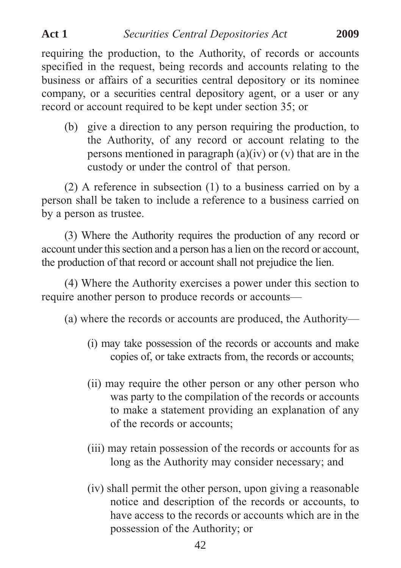requiring the production, to the Authority, of records or accounts specified in the request, being records and accounts relating to the business or affairs of a securities central depository or its nominee company, or a securities central depository agent, or a user or any record or account required to be kept under section 35; or

(b) give a direction to any person requiring the production, to the Authority, of any record or account relating to the persons mentioned in paragraph  $(a)(iv)$  or  $(v)$  that are in the custody or under the control of that person.

(2) A reference in subsection (1) to a business carried on by a person shall be taken to include a reference to a business carried on by a person as trustee.

(3) Where the Authority requires the production of any record or account under this section and a person has a lien on the record or account, the production of that record or account shall not prejudice the lien.

(4) Where the Authority exercises a power under this section to require another person to produce records or accounts—

(a) where the records or accounts are produced, the Authority—

- (i) may take possession of the records or accounts and make copies of, or take extracts from, the records or accounts;
- (ii) may require the other person or any other person who was party to the compilation of the records or accounts to make a statement providing an explanation of any of the records or accounts;
- (iii) may retain possession of the records or accounts for as long as the Authority may consider necessary; and
- (iv) shall permit the other person, upon giving a reasonable notice and description of the records or accounts, to have access to the records or accounts which are in the possession of the Authority; or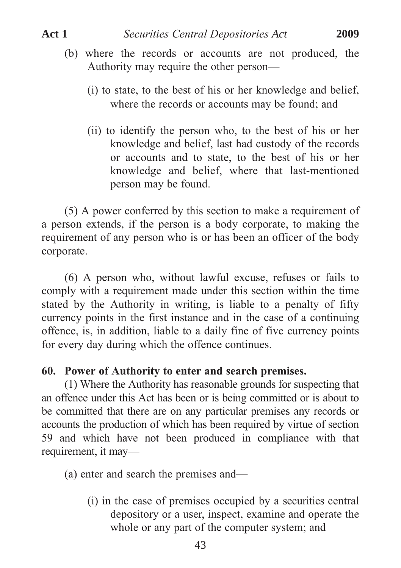- (i) to state, to the best of his or her knowledge and belief, where the records or accounts may be found; and
- (ii) to identify the person who, to the best of his or her knowledge and belief, last had custody of the records or accounts and to state, to the best of his or her knowledge and belief, where that last-mentioned person may be found.

(5) A power conferred by this section to make a requirement of a person extends, if the person is a body corporate, to making the requirement of any person who is or has been an officer of the body corporate.

(6) A person who, without lawful excuse, refuses or fails to comply with a requirement made under this section within the time stated by the Authority in writing, is liable to a penalty of fifty currency points in the first instance and in the case of a continuing offence, is, in addition, liable to a daily fine of five currency points for every day during which the offence continues.

# **60. Power of Authority to enter and search premises.**

(1) Where the Authority has reasonable grounds for suspecting that an offence under this Act has been or is being committed or is about to be committed that there are on any particular premises any records or accounts the production of which has been required by virtue of section 59 and which have not been produced in compliance with that requirement, it may—

(a) enter and search the premises and—

(i) in the case of premises occupied by a securities central depository or a user, inspect, examine and operate the whole or any part of the computer system; and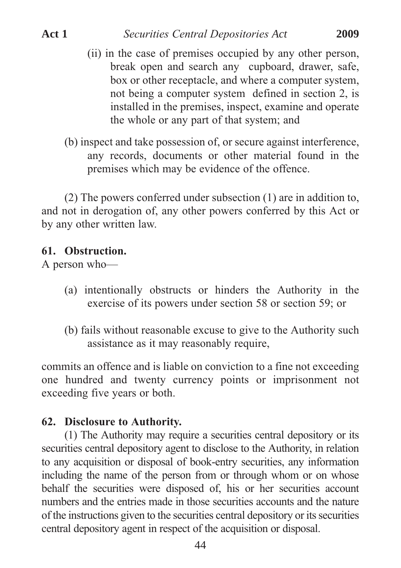- (ii) in the case of premises occupied by any other person, break open and search any cupboard, drawer, safe, box or other receptacle, and where a computer system, not being a computer system defined in section 2, is installed in the premises, inspect, examine and operate the whole or any part of that system; and
- (b) inspect and take possession of, or secure against interference, any records, documents or other material found in the premises which may be evidence of the offence.

(2) The powers conferred under subsection (1) are in addition to, and not in derogation of, any other powers conferred by this Act or by any other written law.

### **61. Obstruction.**

A person who—

- (a) intentionally obstructs or hinders the Authority in the exercise of its powers under section 58 or section 59; or
- (b) fails without reasonable excuse to give to the Authority such assistance as it may reasonably require,

commits an offence and is liable on conviction to a fine not exceeding one hundred and twenty currency points or imprisonment not exceeding five years or both.

## **62. Disclosure to Authority.**

(1) The Authority may require a securities central depository or its securities central depository agent to disclose to the Authority, in relation to any acquisition or disposal of book-entry securities, any information including the name of the person from or through whom or on whose behalf the securities were disposed of, his or her securities account numbers and the entries made in those securities accounts and the nature of the instructions given to the securities central depository or its securities central depository agent in respect of the acquisition or disposal.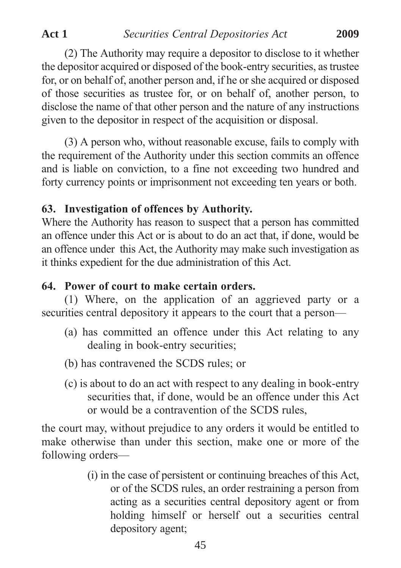(2) The Authority may require a depositor to disclose to it whether the depositor acquired or disposed of the book-entry securities, as trustee for, or on behalf of, another person and, if he or she acquired or disposed of those securities as trustee for, or on behalf of, another person, to disclose the name of that other person and the nature of any instructions given to the depositor in respect of the acquisition or disposal.

(3) A person who, without reasonable excuse, fails to comply with the requirement of the Authority under this section commits an offence and is liable on conviction, to a fine not exceeding two hundred and forty currency points or imprisonment not exceeding ten years or both.

# **63. Investigation of offences by Authority.**

Where the Authority has reason to suspect that a person has committed an offence under this Act or is about to do an act that, if done, would be an offence under this Act, the Authority may make such investigation as it thinks expedient for the due administration of this Act.

# **64. Power of court to make certain orders.**

(1) Where, on the application of an aggrieved party or a securities central depository it appears to the court that a person—

- (a) has committed an offence under this Act relating to any dealing in book-entry securities;
- (b) has contravened the SCDS rules; or
- (c) is about to do an act with respect to any dealing in book-entry securities that, if done, would be an offence under this Act or would be a contravention of the SCDS rules,

the court may, without prejudice to any orders it would be entitled to make otherwise than under this section, make one or more of the following orders—

> (i) in the case of persistent or continuing breaches of this Act, or of the SCDS rules, an order restraining a person from acting as a securities central depository agent or from holding himself or herself out a securities central depository agent;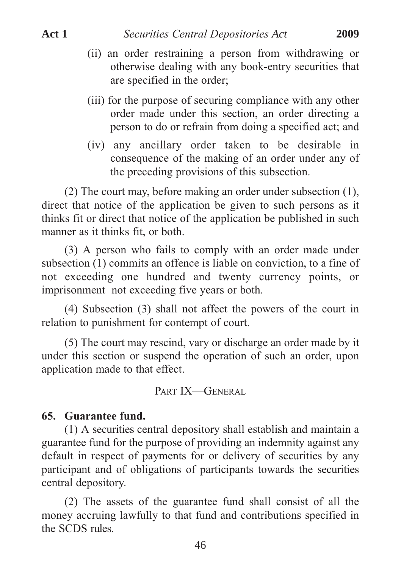- (ii) an order restraining a person from withdrawing or otherwise dealing with any book-entry securities that are specified in the order;
- (iii) for the purpose of securing compliance with any other order made under this section, an order directing a person to do or refrain from doing a specified act; and
- (iv) any ancillary order taken to be desirable in consequence of the making of an order under any of the preceding provisions of this subsection.

(2) The court may, before making an order under subsection (1), direct that notice of the application be given to such persons as it thinks fit or direct that notice of the application be published in such manner as it thinks fit, or both.

(3) A person who fails to comply with an order made under subsection (1) commits an offence is liable on conviction, to a fine of not exceeding one hundred and twenty currency points, or imprisonment not exceeding five years or both.

(4) Subsection (3) shall not affect the powers of the court in relation to punishment for contempt of court.

(5) The court may rescind, vary or discharge an order made by it under this section or suspend the operation of such an order, upon application made to that effect.

PART IX—GENERAL

#### **65. Guarantee fund.**

(1) A securities central depository shall establish and maintain a guarantee fund for the purpose of providing an indemnity against any default in respect of payments for or delivery of securities by any participant and of obligations of participants towards the securities central depository.

(2) The assets of the guarantee fund shall consist of all the money accruing lawfully to that fund and contributions specified in the SCDS rules.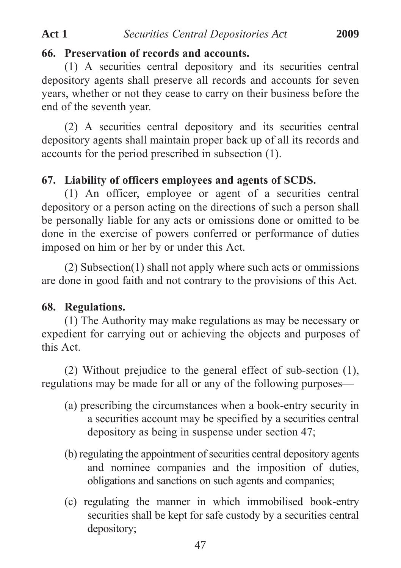#### **66. Preservation of records and accounts.**

(1) A securities central depository and its securities central depository agents shall preserve all records and accounts for seven years, whether or not they cease to carry on their business before the end of the seventh year.

(2) A securities central depository and its securities central depository agents shall maintain proper back up of all its records and accounts for the period prescribed in subsection (1).

## **67. Liability of officers employees and agents of SCDS.**

(1) An officer, employee or agent of a securities central depository or a person acting on the directions of such a person shall be personally liable for any acts or omissions done or omitted to be done in the exercise of powers conferred or performance of duties imposed on him or her by or under this Act.

(2) Subsection(1) shall not apply where such acts or ommissions are done in good faith and not contrary to the provisions of this Act.

# **68. Regulations.**

(1) The Authority may make regulations as may be necessary or expedient for carrying out or achieving the objects and purposes of this Act.

(2) Without prejudice to the general effect of sub-section (1), regulations may be made for all or any of the following purposes—

- (a) prescribing the circumstances when a book-entry security in a securities account may be specified by a securities central depository as being in suspense under section 47;
- (b) regulating the appointment of securities central depository agents and nominee companies and the imposition of duties, obligations and sanctions on such agents and companies;
- (c) regulating the manner in which immobilised book-entry securities shall be kept for safe custody by a securities central depository;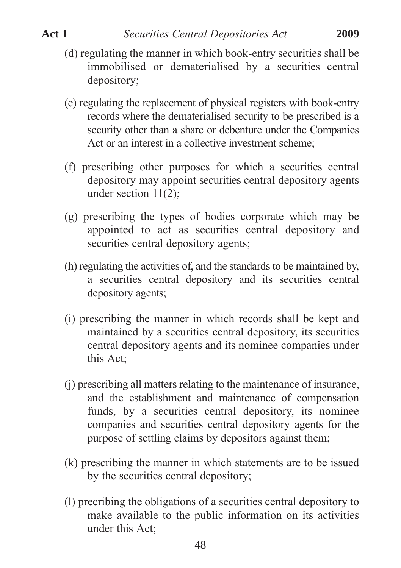- (d) regulating the manner in which book-entry securities shall be immobilised or dematerialised by a securities central depository;
- (e) regulating the replacement of physical registers with book-entry records where the dematerialised security to be prescribed is a security other than a share or debenture under the Companies Act or an interest in a collective investment scheme;
- (f) prescribing other purposes for which a securities central depository may appoint securities central depository agents under section 11(2);
- (g) prescribing the types of bodies corporate which may be appointed to act as securities central depository and securities central depository agents;
- (h) regulating the activities of, and the standards to be maintained by, a securities central depository and its securities central depository agents;
- (i) prescribing the manner in which records shall be kept and maintained by a securities central depository, its securities central depository agents and its nominee companies under this Act;
- (j) prescribing all matters relating to the maintenance of insurance, and the establishment and maintenance of compensation funds, by a securities central depository, its nominee companies and securities central depository agents for the purpose of settling claims by depositors against them;
- (k) prescribing the manner in which statements are to be issued by the securities central depository;
- (l) precribing the obligations of a securities central depository to make available to the public information on its activities under this Act;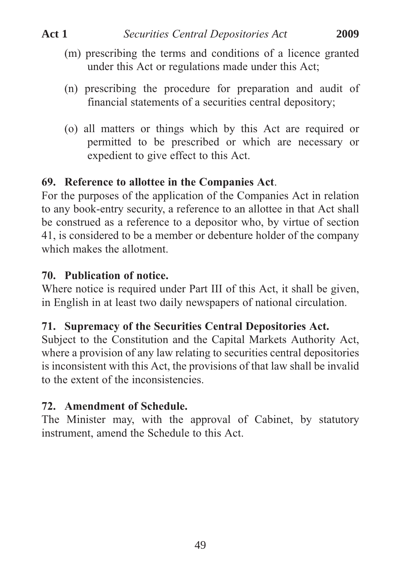- (m) prescribing the terms and conditions of a licence granted under this Act or regulations made under this Act;
- (n) prescribing the procedure for preparation and audit of financial statements of a securities central depository;
- (o) all matters or things which by this Act are required or permitted to be prescribed or which are necessary or expedient to give effect to this Act.

# **69. Reference to allottee in the Companies Act**.

For the purposes of the application of the Companies Act in relation to any book-entry security, a reference to an allottee in that Act shall be construed as a reference to a depositor who, by virtue of section 41, is considered to be a member or debenture holder of the company which makes the allotment.

# **70. Publication of notice.**

Where notice is required under Part III of this Act, it shall be given, in English in at least two daily newspapers of national circulation.

# **71. Supremacy of the Securities Central Depositories Act.**

Subject to the Constitution and the Capital Markets Authority Act, where a provision of any law relating to securities central depositories is inconsistent with this Act, the provisions of that law shall be invalid to the extent of the inconsistencies.

# **72. Amendment of Schedule.**

The Minister may, with the approval of Cabinet, by statutory instrument, amend the Schedule to this Act.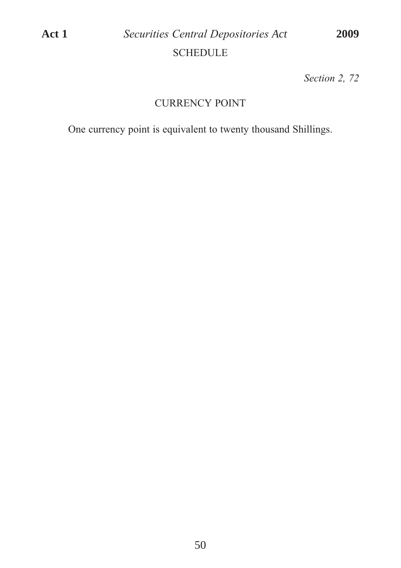*Section 2, 72*

# CURRENCY POINT

One currency point is equivalent to twenty thousand Shillings.